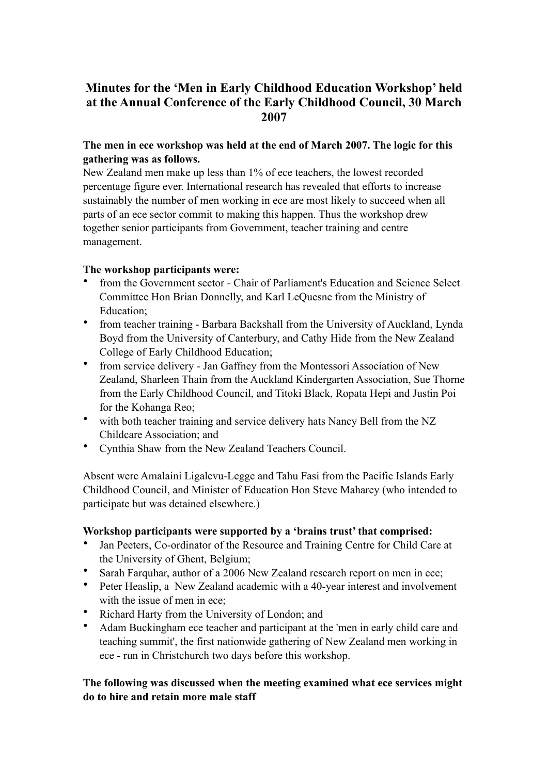# **Minutes for the 'Men in Early Childhood Education Workshop' held at the Annual Conference of the Early Childhood Council, 30 March 2007**

# **The men in ece workshop was held at the end of March 2007. The logic for this gathering was as follows.**

New Zealand men make up less than 1% of ece teachers, the lowest recorded percentage figure ever. International research has revealed that efforts to increase sustainably the number of men working in ece are most likely to succeed when all parts of an ece sector commit to making this happen. Thus the workshop drew together senior participants from Government, teacher training and centre management.

#### **The workshop participants were:**

- from the Government sector Chair of Parliament's Education and Science Select Committee Hon Brian Donnelly, and Karl LeQuesne from the Ministry of Education;
- from teacher training Barbara Backshall from the University of Auckland, Lynda Boyd from the University of Canterbury, and Cathy Hide from the New Zealand College of Early Childhood Education;
- from service delivery Jan Gaffney from the Montessori Association of New Zealand, Sharleen Thain from the Auckland Kindergarten Association, Sue Thorne from the Early Childhood Council, and Titoki Black, Ropata Hepi and Justin Poi for the Kohanga Reo;
- with both teacher training and service delivery hats Nancy Bell from the NZ Childcare Association; and
- Cynthia Shaw from the New Zealand Teachers Council.

Absent were Amalaini Ligalevu-Legge and Tahu Fasi from the Pacific Islands Early Childhood Council, and Minister of Education Hon Steve Maharey (who intended to participate but was detained elsewhere.)

# **Workshop participants were supported by a 'brains trust' that comprised:**

- Jan Peeters, Co-ordinator of the Resource and Training Centre for Child Care at the University of Ghent, Belgium;
- Sarah Farquhar, author of a 2006 New Zealand research report on men in ece;
- Peter Heaslip, a New Zealand academic with a 40-year interest and involvement with the issue of men in ece;
- Richard Harty from the University of London; and
- Adam Buckingham ece teacher and participant at the 'men in early child care and teaching summit', the first nationwide gathering of New Zealand men working in ece - run in Christchurch two days before this workshop.

# **The following was discussed when the meeting examined what ece services might do to hire and retain more male staff**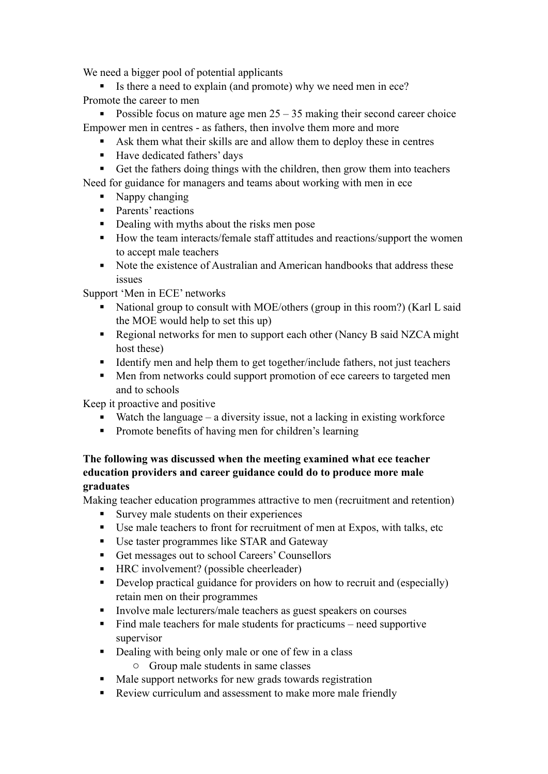We need a bigger pool of potential applicants

Is there a need to explain (and promote) why we need men in ece? Promote the career to men

Possible focus on mature age men  $25 - 35$  making their second career choice Empower men in centres - as fathers, then involve them more and more

- Ask them what their skills are and allow them to deploy these in centres
- Have dedicated fathers' days

Get the fathers doing things with the children, then grow them into teachers Need for guidance for managers and teams about working with men in ece

- Nappy changing
- Parents' reactions
- Dealing with myths about the risks men pose
- How the team interacts/female staff attitudes and reactions/support the women to accept male teachers
- Note the existence of Australian and American handbooks that address these issues

Support 'Men in ECE' networks

- National group to consult with MOE/others (group in this room?) (Karl L said the MOE would help to set this up)
- Regional networks for men to support each other (Nancy B said NZCA might) host these)
- Identify men and help them to get together/include fathers, not just teachers
- Men from networks could support promotion of ece careers to targeted men and to schools

Keep it proactive and positive

- Watch the language a diversity issue, not a lacking in existing workforce
- Promote benefits of having men for children's learning

#### **The following was discussed when the meeting examined what ece teacher education providers and career guidance could do to produce more male graduates**

Making teacher education programmes attractive to men (recruitment and retention)

- Survey male students on their experiences
- Use male teachers to front for recruitment of men at Expos, with talks, etc
- Use taster programmes like STAR and Gateway
- Get messages out to school Careers' Counsellors
- HRC involvement? (possible cheerleader)
- Develop practical guidance for providers on how to recruit and (especially) retain men on their programmes
- Involve male lecturers/male teachers as guest speakers on courses
- $\blacksquare$  Find male teachers for male students for practicums need supportive supervisor
- Dealing with being only male or one of few in a class
	- o Group male students in same classes
- Male support networks for new grads towards registration
- Review curriculum and assessment to make more male friendly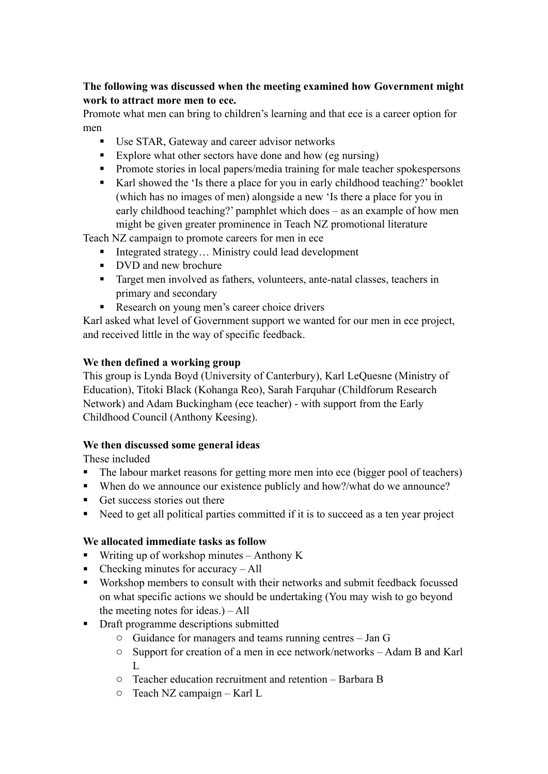### **The following was discussed when the meeting examined how Government might work to attract more men to ece.**

Promote what men can bring to children's learning and that ece is a career option for men

- Use STAR, Gateway and career advisor networks
- Explore what other sectors have done and how (eg nursing)
- **Promote stories in local papers/media training for male teacher spokespersons**
- Karl showed the 'Is there a place for you in early childhood teaching?' booklet (which has no images of men) alongside a new 'Is there a place for you in early childhood teaching?' pamphlet which does – as an example of how men might be given greater prominence in Teach NZ promotional literature

Teach NZ campaign to promote careers for men in ece

- $\blacksquare$  Integrated strategy... Ministry could lead development
- DVD and new brochure
- Target men involved as fathers, volunteers, ante-natal classes, teachers in primary and secondary
- Research on young men's career choice drivers

Karl asked what level of Government support we wanted for our men in ece project, and received little in the way of specific feedback.

# **We then defined a working group**

This group is Lynda Boyd (University of Canterbury), Karl LeQuesne (Ministry of Education), Titoki Black (Kohanga Reo), Sarah Farquhar (Childforum Research Network) and Adam Buckingham (ece teacher) - with support from the Early Childhood Council (Anthony Keesing).

# **We then discussed some general ideas**

These included

- The labour market reasons for getting more men into ece (bigger pool of teachers)
- When do we announce our existence publicly and how?/what do we announce?
- Get success stories out there
- Need to get all political parties committed if it is to succeed as a ten year project

# **We allocated immediate tasks as follow**

- **Writing up of workshop minutes Anthony K**
- $\blacksquare$  Checking minutes for accuracy All
- Workshop members to consult with their networks and submit feedback focussed on what specific actions we should be undertaking (You may wish to go beyond the meeting notes for ideas.) – All
- Draft programme descriptions submitted
	- o Guidance for managers and teams running centres Jan G
	- o Support for creation of a men in ece network/networks Adam B and Karl  $L$
	- o Teacher education recruitment and retention Barbara B
	- o Teach NZ campaign Karl L